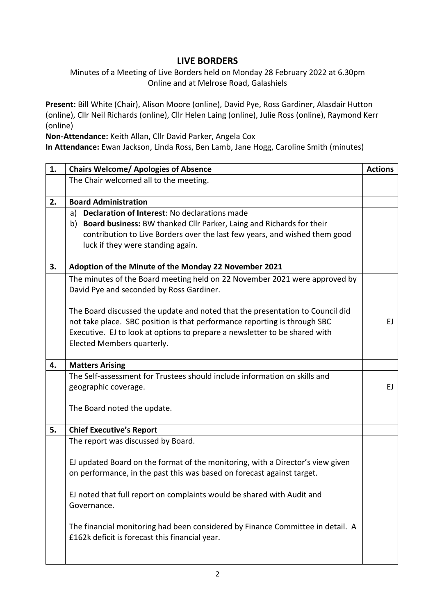## **LIVE BORDERS**

Minutes of a Meeting of Live Borders held on Monday 28 February 2022 at 6.30pm Online and at Melrose Road, Galashiels

**Present:** Bill White (Chair), Alison Moore (online), David Pye, Ross Gardiner, Alasdair Hutton (online), Cllr Neil Richards (online), Cllr Helen Laing (online), Julie Ross (online), Raymond Kerr (online)

**Non-Attendance:** Keith Allan, Cllr David Parker, Angela Cox

**In Attendance:** Ewan Jackson, Linda Ross, Ben Lamb, Jane Hogg, Caroline Smith (minutes)

| 1. | <b>Chairs Welcome/ Apologies of Absence</b>                                    | <b>Actions</b> |
|----|--------------------------------------------------------------------------------|----------------|
|    | The Chair welcomed all to the meeting.                                         |                |
|    |                                                                                |                |
| 2. | <b>Board Administration</b>                                                    |                |
|    | Declaration of Interest: No declarations made<br>a)                            |                |
|    | b) Board business: BW thanked Cllr Parker, Laing and Richards for their        |                |
|    | contribution to Live Borders over the last few years, and wished them good     |                |
|    | luck if they were standing again.                                              |                |
| 3. | Adoption of the Minute of the Monday 22 November 2021                          |                |
|    | The minutes of the Board meeting held on 22 November 2021 were approved by     |                |
|    | David Pye and seconded by Ross Gardiner.                                       |                |
|    |                                                                                |                |
|    | The Board discussed the update and noted that the presentation to Council did  |                |
|    | not take place. SBC position is that performance reporting is through SBC      | EJ.            |
|    | Executive. EJ to look at options to prepare a newsletter to be shared with     |                |
|    | Elected Members quarterly.                                                     |                |
| 4. | <b>Matters Arising</b>                                                         |                |
|    | The Self-assessment for Trustees should include information on skills and      |                |
|    | geographic coverage.                                                           | EJ.            |
|    |                                                                                |                |
|    | The Board noted the update.                                                    |                |
| 5. | <b>Chief Executive's Report</b>                                                |                |
|    | The report was discussed by Board.                                             |                |
|    |                                                                                |                |
|    | EJ updated Board on the format of the monitoring, with a Director's view given |                |
|    | on performance, in the past this was based on forecast against target.         |                |
|    |                                                                                |                |
|    | EJ noted that full report on complaints would be shared with Audit and         |                |
|    | Governance.                                                                    |                |
|    | The financial monitoring had been considered by Finance Committee in detail. A |                |
|    | £162k deficit is forecast this financial year.                                 |                |
|    |                                                                                |                |
|    |                                                                                |                |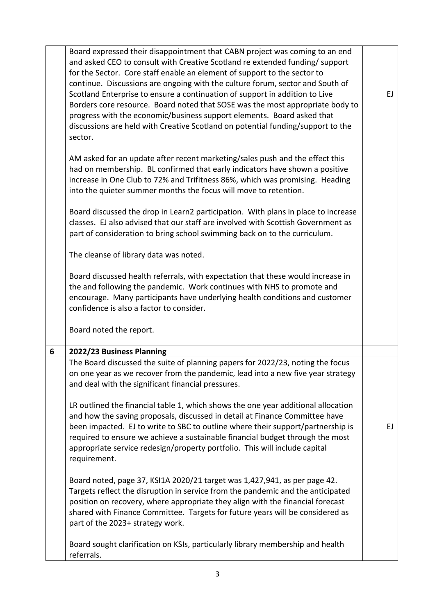|   | Board expressed their disappointment that CABN project was coming to an end<br>and asked CEO to consult with Creative Scotland re extended funding/ support<br>for the Sector. Core staff enable an element of support to the sector to<br>continue. Discussions are ongoing with the culture forum, sector and South of<br>Scotland Enterprise to ensure a continuation of support in addition to Live<br>Borders core resource. Board noted that SOSE was the most appropriate body to | EJ |
|---|------------------------------------------------------------------------------------------------------------------------------------------------------------------------------------------------------------------------------------------------------------------------------------------------------------------------------------------------------------------------------------------------------------------------------------------------------------------------------------------|----|
|   | progress with the economic/business support elements. Board asked that<br>discussions are held with Creative Scotland on potential funding/support to the<br>sector.                                                                                                                                                                                                                                                                                                                     |    |
|   | AM asked for an update after recent marketing/sales push and the effect this<br>had on membership. BL confirmed that early indicators have shown a positive<br>increase in One Club to 72% and Trifitness 86%, which was promising. Heading<br>into the quieter summer months the focus will move to retention.                                                                                                                                                                          |    |
|   | Board discussed the drop in Learn2 participation. With plans in place to increase<br>classes. EJ also advised that our staff are involved with Scottish Government as<br>part of consideration to bring school swimming back on to the curriculum.                                                                                                                                                                                                                                       |    |
|   | The cleanse of library data was noted.                                                                                                                                                                                                                                                                                                                                                                                                                                                   |    |
|   | Board discussed health referrals, with expectation that these would increase in<br>the and following the pandemic. Work continues with NHS to promote and<br>encourage. Many participants have underlying health conditions and customer<br>confidence is also a factor to consider.                                                                                                                                                                                                     |    |
|   | Board noted the report.                                                                                                                                                                                                                                                                                                                                                                                                                                                                  |    |
| 6 | 2022/23 Business Planning                                                                                                                                                                                                                                                                                                                                                                                                                                                                |    |
|   | The Board discussed the suite of planning papers for 2022/23, noting the focus<br>on one year as we recover from the pandemic, lead into a new five year strategy<br>and deal with the significant financial pressures.                                                                                                                                                                                                                                                                  |    |
|   | LR outlined the financial table 1, which shows the one year additional allocation<br>and how the saving proposals, discussed in detail at Finance Committee have<br>been impacted. EJ to write to SBC to outline where their support/partnership is<br>required to ensure we achieve a sustainable financial budget through the most<br>appropriate service redesign/property portfolio. This will include capital<br>requirement.                                                       | EJ |
|   | Board noted, page 37, KSI1A 2020/21 target was 1,427,941, as per page 42.<br>Targets reflect the disruption in service from the pandemic and the anticipated<br>position on recovery, where appropriate they align with the financial forecast<br>shared with Finance Committee. Targets for future years will be considered as<br>part of the 2023+ strategy work.                                                                                                                      |    |
|   | Board sought clarification on KSIs, particularly library membership and health<br>referrals.                                                                                                                                                                                                                                                                                                                                                                                             |    |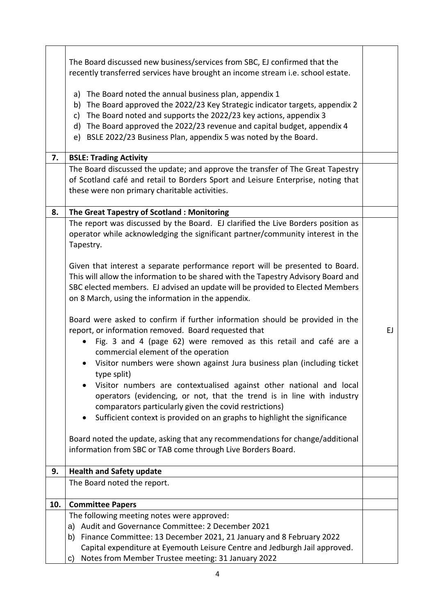|     | The Board discussed new business/services from SBC, EJ confirmed that the<br>recently transferred services have brought an income stream i.e. school estate.                                                                                                                                                                                                                    |    |
|-----|---------------------------------------------------------------------------------------------------------------------------------------------------------------------------------------------------------------------------------------------------------------------------------------------------------------------------------------------------------------------------------|----|
|     | The Board noted the annual business plan, appendix 1<br>a)<br>The Board approved the 2022/23 Key Strategic indicator targets, appendix 2<br>b)<br>The Board noted and supports the 2022/23 key actions, appendix 3<br>c)<br>The Board approved the 2022/23 revenue and capital budget, appendix 4<br>d)<br>BSLE 2022/23 Business Plan, appendix 5 was noted by the Board.<br>e) |    |
| 7.  | <b>BSLE: Trading Activity</b>                                                                                                                                                                                                                                                                                                                                                   |    |
|     | The Board discussed the update; and approve the transfer of The Great Tapestry<br>of Scotland café and retail to Borders Sport and Leisure Enterprise, noting that<br>these were non primary charitable activities.                                                                                                                                                             |    |
| 8.  | The Great Tapestry of Scotland: Monitoring                                                                                                                                                                                                                                                                                                                                      |    |
|     | The report was discussed by the Board. EJ clarified the Live Borders position as<br>operator while acknowledging the significant partner/community interest in the<br>Tapestry.                                                                                                                                                                                                 |    |
|     | Given that interest a separate performance report will be presented to Board.<br>This will allow the information to be shared with the Tapestry Advisory Board and<br>SBC elected members. EJ advised an update will be provided to Elected Members<br>on 8 March, using the information in the appendix.                                                                       |    |
|     | Board were asked to confirm if further information should be provided in the<br>report, or information removed. Board requested that<br>Fig. 3 and 4 (page 62) were removed as this retail and café are a<br>commercial element of the operation                                                                                                                                | EJ |
|     | Visitor numbers were shown against Jura business plan (including ticket<br>type split)                                                                                                                                                                                                                                                                                          |    |
|     | Visitor numbers are contextualised against other national and local<br>operators (evidencing, or not, that the trend is in line with industry<br>comparators particularly given the covid restrictions)                                                                                                                                                                         |    |
|     | Sufficient context is provided on an graphs to highlight the significance<br>$\bullet$                                                                                                                                                                                                                                                                                          |    |
|     | Board noted the update, asking that any recommendations for change/additional<br>information from SBC or TAB come through Live Borders Board.                                                                                                                                                                                                                                   |    |
| 9.  | <b>Health and Safety update</b>                                                                                                                                                                                                                                                                                                                                                 |    |
|     | The Board noted the report.                                                                                                                                                                                                                                                                                                                                                     |    |
| 10. | <b>Committee Papers</b>                                                                                                                                                                                                                                                                                                                                                         |    |
|     | The following meeting notes were approved:                                                                                                                                                                                                                                                                                                                                      |    |
|     | a) Audit and Governance Committee: 2 December 2021                                                                                                                                                                                                                                                                                                                              |    |
|     | b) Finance Committee: 13 December 2021, 21 January and 8 February 2022                                                                                                                                                                                                                                                                                                          |    |
|     | Capital expenditure at Eyemouth Leisure Centre and Jedburgh Jail approved.                                                                                                                                                                                                                                                                                                      |    |
|     | Notes from Member Trustee meeting: 31 January 2022<br>C)                                                                                                                                                                                                                                                                                                                        |    |

 $\mathbf{r}$